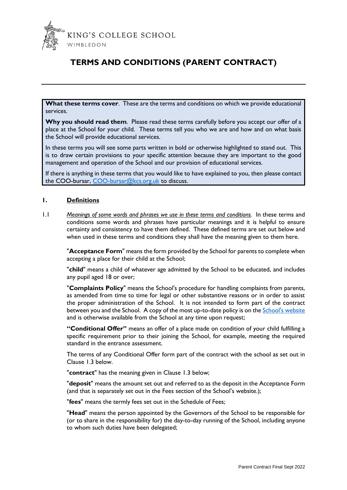

# **TERMS AND CONDITIONS (PARENT CONTRACT)**

**What these terms cover**. These are the terms and conditions on which we provide educational services.

**Why you should read them**. Please read these terms carefully before you accept our offer of a place at the School for your child. These terms tell you who we are and how and on what basis the School will provide educational services.

In these terms you will see some parts written in bold or otherwise highlighted to stand out. This is to draw certain provisions to your specific attention because they are important to the good management and operation of the School and our provision of educational services.

If there is anything in these terms that you would like to have explained to you, then please contact the COO-bursar, [COO-bursar@kcs.org.uk](mailto:COO-bursar@kcs.org.uk) to discuss.

#### **1. Definitions**

1.1 *Meanings of some words and phrases we use in these terms and conditions.* In these terms and conditions some words and phrases have particular meanings and it is helpful to ensure certainty and consistency to have them defined. These defined terms are set out below and when used in these terms and conditions they shall have the meaning given to them here.

"**Acceptance Form**" means the form provided by the School for parents to complete when accepting a place for their child at the School;

"**child**" means a child of whatever age admitted by the School to be educated, and includes any pupil aged 18 or over;

"**Complaints Policy**" means the School's procedure for handling complaints from parents, as amended from time to time for legal or other substantive reasons or in order to assist the proper administration of the School. It is not intended to form part of the contract between you and the School. A copy of the most up-to-date policy is on th[e School's website](https://www.kcs.org.uk/useful-information/policies-documents-and-privacy-notices) and is otherwise available from the School at any time upon request;

**"Conditional Offer"** means an offer of a place made on condition of your child fulfilling a specific requirement prior to their joining the School, for example, meeting the required standard in the entrance assessment.

The terms of any Conditional Offer form part of the contract with the school as set out in Clause 1.3 below.

"**contract**" has the meaning given in Clause 1.3 below;

"**deposit**" means the amount set out and referred to as the deposit in the Acceptance Form (and that is separately set out in the Fees section of the School's website.);

"**fees**" means the termly fees set out in the Schedule of Fees;

"**Head**" means the person appointed by the Governors of the School to be responsible for (or to share in the responsibility for) the day-to-day running of the School, including anyone to whom such duties have been delegated;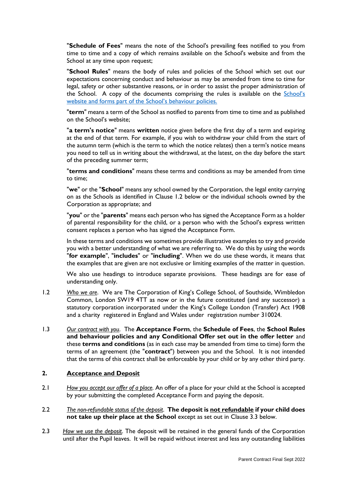"**Schedule of Fees**" means the note of the School's prevailing fees notified to you from time to time and a copy of which remains available on the School's website and from the School at any time upon request;

"**School Rules**" means the body of rules and policies of the School which set out our expectations concerning conduct and behaviour as may be amended from time to time for legal, safety or other substantive reasons, or in order to assist the proper administration of the School. A copy of the documents comprising the rules is available on the S[chool's](https://www.kcs.org.uk/useful-information/policies-documents-and-privacy-notices)  website and forms part of the S[chool's behaviour policies](https://www.kcs.org.uk/useful-information/policies-documents-and-privacy-notices).

"**term**" means a term of the School as notified to parents from time to time and as published on the School's website;

"**a term's notice**" means **written** notice given before the first day of a term and expiring at the end of that term. For example, if you wish to withdraw your child from the start of the autumn term (which is the term to which the notice relates) then a term's notice means you need to tell us in writing about the withdrawal, at the latest, on the day before the start of the preceding summer term;

"**terms and conditions**" means these terms and conditions as may be amended from time to time;

"**we**" or the "**School**" means any school owned by the Corporation, the legal entity carrying on as the Schools as identified in Clause 1.2 below or the individual schools owned by the Corporation as appropriate; and

"**you**" or the "**parents**" means each person who has signed the Acceptance Form as a holder of parental responsibility for the child, or a person who with the School's express written consent replaces a person who has signed the Acceptance Form.

In these terms and conditions we sometimes provide illustrative examples to try and provide you with a better understanding of what we are referring to. We do this by using the words "**for example**", "**includes**" or "**including**". When we do use these words, it means that the examples that are given are not exclusive or limiting examples of the matter in question.

We also use headings to introduce separate provisions. These headings are for ease of understanding only.

- 1.2 *Who we are*. We are The Corporation of King's College School, of Southside, Wimbledon Common, London SW19 4TT as now or in the future constituted (and any successor) a statutory corporation incorporated under the King's College London (Transfer) Act 1908 and a charity registered in England and Wales under registration number 310024.
- 1.3 *Our contract with you*. The **Acceptance Form**, the **Schedule of Fees**, the **School Rules and behaviour policies and any Conditional Offer set out in the offer letter** and these **terms and conditions** (as in each case may be amended from time to time) form the terms of an agreement (the "**contract**") between you and the School. It is not intended that the terms of this contract shall be enforceable by your child or by any other third party.

#### **2. Acceptance and Deposit**

- 2.1 *How you accept our offer of a place.* An offer of a place for your child at the School is accepted by your submitting the completed Acceptance Form and paying the deposit.
- 2.2 *The non-refundable status of the deposit*. **The deposit is not refundable if your child does not take up their place at the School** except as set out in Clause 3.3 below.
- 2.3 *How we use the deposit*. The deposit will be retained in the general funds of the Corporation until after the Pupil leaves. It will be repaid without interest and less any outstanding liabilities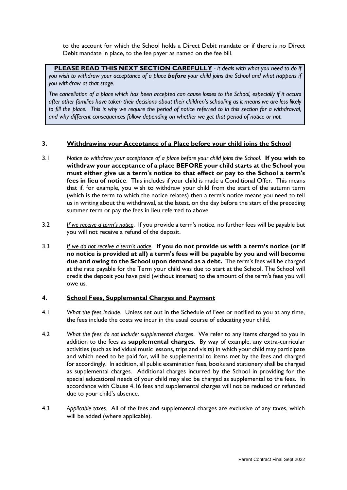to the account for which the School holds a Direct Debit mandate or if there is no Direct Debit mandate in place, to the fee payer as named on the fee bill.

**PLEASE READ THIS NEXT SECTION CAREFULLY** *- it deals with what you need to do if you wish to withdraw your acceptance of a place before your child joins the School and what happens if you withdraw at that stage.*

*The cancellation of a place which has been accepted can cause losses to the School, especially if it occurs after other families have taken their decisions about their children's schooling as it means we are less likely*  to fill the place. This is why we require the period of notice referred to in this section for a withdrawal, *and why different consequences follow depending on whether we get that period of notice or not.* 

## **3. Withdrawing your Acceptance of a Place before your child joins the School**

- 3.1 *Notice to withdraw your acceptance of a place before your child joins the School*. **If you wish to withdraw your acceptance of a place BEFORE your child starts at the School you must either give us a term's notice to that effect or pay to the School a term's fees in lieu of notice**. This includes if your child is made a Conditional Offer. This means that if, for example, you wish to withdraw your child from the start of the autumn term (which is the term to which the notice relates) then a term's notice means you need to tell us in writing about the withdrawal, at the latest, on the day before the start of the preceding summer term or pay the fees in lieu referred to above.
- 3.2 *If we receive a term's notice*. If you provide a term's notice, no further fees will be payable but you will not receive a refund of the deposit.
- 3.3 *If we do not receive a term's notice*. **If you do not provide us with a term's notice (or if no notice is provided at all) a term's fees will be payable by you and will become due and owing to the School upon demand as a debt.** The term's fees will be charged at the rate payable for the Term your child was due to start at the School. The School will credit the deposit you have paid (without interest) to the amount of the term's fees you will owe us.

#### **4. School Fees, Supplemental Charges and Payment**

- 4.1 *What the fees include*. Unless set out in the Schedule of Fees or notified to you at any time, the fees include the costs we incur in the usual course of educating your child.
- 4.2 *What the fees do not include: supplemental charges*. We refer to any items charged to you in addition to the fees as **supplemental charges**. By way of example, any extra-curricular activities (such as individual music lessons, trips and visits) in which your child may participate and which need to be paid for, will be supplemental to items met by the fees and charged for accordingly. In addition, all public examination fees, books and stationery shall be charged as supplemental charges. Additional charges incurred by the School in providing for the special educational needs of your child may also be charged as supplemental to the fees. In accordance with Clause 4.16 fees and supplemental charges will not be reduced or refunded due to your child's absence.
- 4.3 *Applicable taxes.* All of the fees and supplemental charges are exclusive of any taxes, which will be added (where applicable).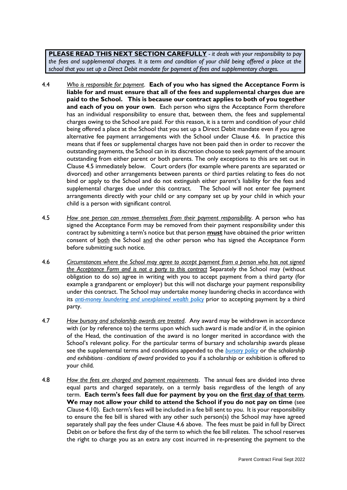**PLEASE READ THIS NEXT SECTION CAREFULLY** *- it deals with your responsibility to pay the fees and supplemental charges. It is term and condition of your child being offered a place at the school that you set up a Direct Debit mandate for payment of fees and supplementary charges.* 

- 4.4 *Who is responsible for payment*. **Each of you who has signed the Acceptance Form is liable for and must ensure that all of the fees and supplemental charges due are paid to the School. This is because our contract applies to both of you together and each of you on your own**. Each person who signs the Acceptance Form therefore has an individual responsibility to ensure that, between them, the fees and supplemental charges owing to the School are paid. For this reason, it is a term and condition of your child being offered a place at the School that you set up a Direct Debit mandate even if you agree alternative fee payment arrangements with the School under Clause 4.6. In practice this means that if fees or supplemental charges have not been paid then in order to recover the outstanding payments, the School can in its discretion choose to seek payment of the amount outstanding from either parent or both parents. The only exceptions to this are set out in Clause 4.5 immediately below. Court orders (for example where parents are separated or divorced) and other arrangements between parents or third parties relating to fees do not bind or apply to the School and do not extinguish either parent's liability for the fees and supplemental charges due under this contract. The School will not enter fee payment arrangements directly with your child or any company set up by your child in which your child is a person with significant control.
- 4.5 *How one person can remove themselves from their payment responsibility*. A person who has signed the Acceptance Form may be removed from their payment responsibility under this contract by submitting a term's notice but that person **must** have obtained the prior written consent of both the School and the other person who has signed the Acceptance Form before submitting such notice.
- 4.6 *Circumstances where the School may agree to accept payment from a person who has not signed the Acceptance Form and is not a party to this contract* Separately the School may (without obligation to do so) agree in writing with you to accept payment from a third party (for example a grandparent or employer) but this will not discharge your payment responsibility under this contract. The School may undertake money laundering checks in accordance with its *anti-money [laundering and unexplained wealth policy](https://www.kcs.org.uk/useful-information/policies-documents-and-privacy-notices)* prior to accepting payment by a third party.
- 4.7 *How bursary and scholarship awards are treated*. Any award may be withdrawn in accordance with (or by reference to) the terms upon which such award is made and/or if, in the opinion of the Head, the continuation of the award is no longer merited in accordance with the School's relevant policy. For the particular terms of bursary and scholarship awards please see the supplemental terms and conditions appended to the *[bursary policy](https://www.kcs.org.uk/useful-information/policies-documents-and-privacy-notices)* or the *scholarship and exhibitions* -*conditions of award* provided to you if a scholarship or exhibition is offered to your child*.*
- 4.8 *How the fees are charged and payment requirements*. The annual fees are divided into three equal parts and charged separately, on a termly basis regardless of the length of any term. **Each term's fees fall due for payment by you on the first day of that term**. **We may not allow your child to attend the School if you do not pay on time** (see Clause 4.10). Each term's fees will be included in a fee bill sent to you. It is your responsibility to ensure the fee bill is shared with any other such person(s) the School may have agreed separately shall pay the fees under Clause 4.6 above. The fees must be paid in full by Direct Debit on or before the first day of the term to which the fee bill relates. The school reserves the right to charge you as an extra any cost incurred in re-presenting the payment to the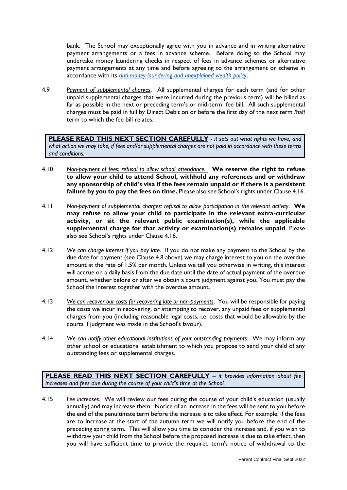bank. The School may exceptionally agree with you in advance and in writing alternative payment arrangements or a fees in advance scheme. Before doing so the School may undertake money laundering checks in respect of fees in advance schemes or alternative payment arrangements at any time and before agreeing to the arrangement or scheme in accordance with its *[anti-money laundering and unexplained wealth policy](https://www.kcs.org.uk/useful-information/policies-documents-and-privacy-notices)*.

4.9 *Payment of supplemental charges*. All supplemental charges for each term (and for other unpaid supplemental charges that were incurred during the previous term) will be billed as far as possible in the next or preceding term's or mid-term fee bill. All such supplemental charges must be paid in full by Direct Debit on or before the first day of the next term /half term to which the fee bill relates.

**PLEASE READ THIS NEXT SECTION CAREFULLY** *- it sets out what rights we have, and what action we may take, if fees and/or supplemental charges are not paid in accordance with these terms and conditions.*

- 4.10 *Non-payment of fees: refusal to allow school attendance.* **We reserve the right to refuse to allow your child to attend School, withhold any references and or withdraw any sponsorship of child's visa if the fees remain unpaid or if there is a persistent failure by you to pay the fees on time.** Please also see School's rights under Clause 4.16.
- 4.11 *Non-payment of supplemental charges: refusal to allow participation in the relevant activity*. **We may refuse to allow your child to participate in the relevant extra-curricular activity, or sit the relevant public examination(s), while the applicable supplemental charge for that activity or examination(s) remains unpaid**. Please also see School's rights under Clause 4.16.
- 4.12 *We can charge interest if you pay late*. If you do not make any payment to the School by the due date for payment (see Clause 4.8 above) we may charge interest to you on the overdue amount at the rate of 1.5% per month. Unless we tell you otherwise in writing, this interest will accrue on a daily basis from the due date until the date of actual payment of the overdue amount, whether before or after we obtain a court judgment against you. You must pay the School the interest together with the overdue amount.
- 4.13 *We can recover our costs for recovering late or non-payments*. You will be responsible for paying the costs we incur in recovering, or attempting to recover, any unpaid fees or supplemental charges from you (including reasonable legal costs, i.e. costs that would be allowable by the courts if judgment was made in the School's favour).
- 4.14 *We can notify other educational institutions of your outstanding payments*. We may inform any other school or educational establishment to which you propose to send your child of any outstanding fees or supplemental charges.

**PLEASE READ THIS NEXT SECTION CAREFULLY** *– it provides information about fee increases and fees due during the course of your child's time at the School.*

4.15 *Fee increases*. We will review our fees during the course of your child's education (usually annually) and may increase them. Notice of an increase in the fees will be sent to you before the end of the penultimate term before the increase is to take effect. For example, if the fees are to increase at the start of the autumn term we will notify you before the end of the preceding spring term. This will allow you time to consider the increase and, if you wish to withdraw your child from the School before the proposed increase is due to take effect, then you will have sufficient time to provide the required term's notice of withdrawal to the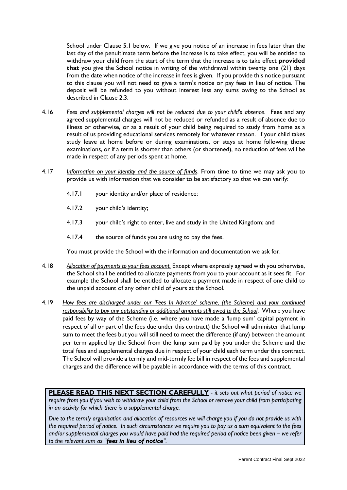School under Clause 5.1 below. If we give you notice of an increase in fees later than the last day of the penultimate term before the increase is to take effect, you will be entitled to withdraw your child from the start of the term that the increase is to take effect **provided that** you give the School notice in writing of the withdrawal within twenty one (21) days from the date when notice of the increase in fees is given. If you provide this notice pursuant to this clause you will not need to give a term's notice or pay fees in lieu of notice. The deposit will be refunded to you without interest less any sums owing to the School as described in Clause 2.3.

- 4.16 *Fees and supplemental charges will not be reduced due to your child's absence*. Fees and any agreed supplemental charges will not be reduced or refunded as a result of absence due to illness or otherwise, or as a result of your child being required to study from home as a result of us providing educational services remotely for whatever reason. If your child takes study leave at home before or during examinations, or stays at home following those examinations, or if a term is shorter than others (or shortened), no reduction of fees will be made in respect of any periods spent at home.
- 4.17 *Information on your identity and the source of funds*. From time to time we may ask you to provide us with information that we consider to be satisfactory so that we can verify:
	- 4.17.1 your identity and/or place of residence;
	- 4.17.2 your child's identity;
	- 4.17.3 your child's right to enter, live and study in the United Kingdom; and
	- 4.17.4 the source of funds you are using to pay the fees.

You must provide the School with the information and documentation we ask for.

- 4.18 *Allocation of payments to your fees account.* Except where expressly agreed with you otherwise, the School shall be entitled to allocate payments from you to your account as it sees fit. For example the School shall be entitled to allocate a payment made in respect of one child to the unpaid account of any other child of yours at the School.
- 4.19 *How fees are discharged under our 'Fees In Advance' scheme, (the Scheme) and your continued responsibility to pay any outstanding or additional amounts still owed to the School*. Where you have paid fees by way of the Scheme (i.e. where you have made a 'lump sum' capital payment in respect of all or part of the fees due under this contract) the School will administer that lump sum to meet the fees but you will still need to meet the difference (if any) between the amount per term applied by the School from the lump sum paid by you under the Scheme and the total fees and supplemental charges due in respect of your child each term under this contract. The School will provide a termly and mid-termly fee bill in respect of the fees and supplemental charges and the difference will be payable in accordance with the terms of this contract.

**PLEASE READ THIS NEXT SECTION CAREFULLY** *- it sets out what period of notice we require from you if you wish to withdraw your child from the School or remove your child from participating in an activity for which there is a supplemental charge.*

*Due to the termly organisation and allocation of resources we will charge you if you do not provide us with the required period of notice. In such circumstances we require you to pay us a sum equivalent to the fees and/or supplemental charges you would have paid had the required period of notice been given – we refer to the relevant sum as "fees in lieu of notice".*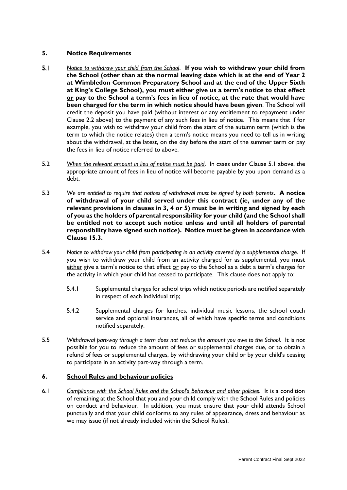# **5. Notice Requirements**

- 5.1 *Notice to withdraw your child from the School*. **If you wish to withdraw your child from the School (other than at the normal leaving date which is at the end of Year 2 at Wimbledon Common Preparatory School and at the end of the Upper Sixth at King's College School), you must either give us a term's notice to that effect or pay to the School a term's fees in lieu of notice, at the rate that would have been charged for the term in which notice should have been given**. The School will credit the deposit you have paid (without interest or any entitlement to repayment under Clause 2.2 above) to the payment of any such fees in lieu of notice. This means that if for example, you wish to withdraw your child from the start of the autumn term (which is the term to which the notice relates) then a term's notice means you need to tell us in writing about the withdrawal, at the latest, on the day before the start of the summer term or pay the fees in lieu of notice referred to above.
- 5.2 *When the relevant amount in lieu of notice must be paid*. In cases under Clause 5.1 above, the appropriate amount of fees in lieu of notice will become payable by you upon demand as a debt.
- 5.3 *We are entitled to require that notices of withdrawal must be signed by both parents***. A notice of withdrawal of your child served under this contract (ie, under any of the relevant provisions in clauses in 3, 4 or 5) must be in writing and signed by each of you as the holders of parental responsibility for your child (and the School shall be entitled not to accept such notice unless and until all holders of parental responsibility have signed such notice). Notice must be given in accordance with Clause 15.3.**
- 5.4 *Notice to withdraw your child from participating in an activity covered by a supplemental charge*. If you wish to withdraw your child from an activity charged for as supplemental, you must either give a term's notice to that effect or pay to the School as a debt a term's charges for the activity in which your child has ceased to participate. This clause does not apply to:
	- 5.4.1 Supplemental charges for school trips which notice periods are notified separately in respect of each individual trip;
	- 5.4.2 Supplemental charges for lunches, individual music lessons, the school coach service and optional insurances, all of which have specific terms and conditions notified separately.
- 5.5 *Withdrawal part-way through a term does not reduce the amount you owe to the School*. It is not possible for you to reduce the amount of fees or supplemental charges due, or to obtain a refund of fees or supplemental charges, by withdrawing your child or by your child's ceasing to participate in an activity part-way through a term.

## **6. School Rules and behaviour policies**

6.1 *Compliance with the School Rules and the School's Behaviour and other policies*. It is a condition of remaining at the School that you and your child comply with the School Rules and policies on conduct and behaviour. In addition, you must ensure that your child attends School punctually and that your child conforms to any rules of appearance, dress and behaviour as we may issue (if not already included within the School Rules).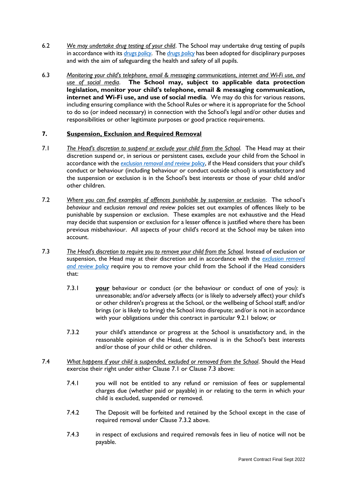- 6.2 *We may undertake drug testing of your child*. The School may undertake drug testing of pupils in accordance with its *[drugs policy](https://www.kcs.org.uk/useful-information/policies-documents-and-privacy-notices)*. The *drugs [policy](https://www.kcs.org.uk/useful-information/policies-documents-and-privacy-notices)* has been adopted for disciplinary purposes and with the aim of safeguarding the health and safety of all pupils.
- 6.3 *Monitoring your child's telephone, email & messaging communications, internet and Wi-Fi use, and use of social media*. **The School may, subject to applicable data protection legislation, monitor your child's telephone, email & messaging communication, internet and Wi-Fi use, and use of social media**. We may do this for various reasons, including ensuring compliance with the School Rules or where it is appropriate for the School to do so (or indeed necessary) in connection with the School's legal and/or other duties and responsibilities or other legitimate purposes or good practice requirements.

# **7. Suspension, Exclusion and Required Removal**

- 7.1 *The Head's discretion to suspend or exclude your child from the School*. The Head may at their discretion suspend or, in serious or persistent cases, exclude your child from the School in accordance with the *[exclusion removal and review policy](https://www.kcs.org.uk/useful-information/policies-documents-and-privacy-notices)*, if the Head considers that your child's conduct or behaviour (including behaviour or conduct outside school) is unsatisfactory and the suspension or exclusion is in the School's best interests or those of your child and/or other children.
- 7.2 *Where you can find examples of offences punishable by suspension or exclusion*. The school's *behaviour* and *exclusion removal and review policies* set out examples of offences likely to be punishable by suspension or exclusion. These examples are not exhaustive and the Head may decide that suspension or exclusion for a lesser offence is justified where there has been previous misbehaviour. All aspects of your child's record at the School may be taken into account.
- 7.3 *The Head's discretion to require you to remove your child from the School*. Instead of exclusion or suspension, the Head may at their discretion and in accordance with the *[exclusion removal](https://www.kcs.org.uk/useful-information/policies-documents-and-privacy-notices)  [and review policy](https://www.kcs.org.uk/useful-information/policies-documents-and-privacy-notices)* require you to remove your child from the School if the Head considers that:
	- 7.3.1 **your** behaviour or conduct (or the behaviour or conduct of one of you): is unreasonable; and/or adversely affects (or is likely to adversely affect) your child's or other children's progress at the School, or the wellbeing of School staff; and/or brings (or is likely to bring) the School into disrepute; and/or is not in accordance with your obligations under this contract in particular 9.2.1 below; or
	- 7.3.2 your child's attendance or progress at the School is unsatisfactory and, in the reasonable opinion of the Head, the removal is in the School's best interests and/or those of your child or other children.
- 7.4 *What happens if your child is suspended, excluded or removed from the School*. Should the Head exercise their right under either Clause 7.1 or Clause 7.3 above:
	- 7.4.1 you will not be entitled to any refund or remission of fees or supplemental charges due (whether paid or payable) in or relating to the term in which your child is excluded, suspended or removed.
	- 7.4.2 The Deposit will be forfeited and retained by the School except in the case of required removal under Clause 7.3.2 above.
	- 7.4.3 in respect of exclusions and required removals fees in lieu of notice will not be payable.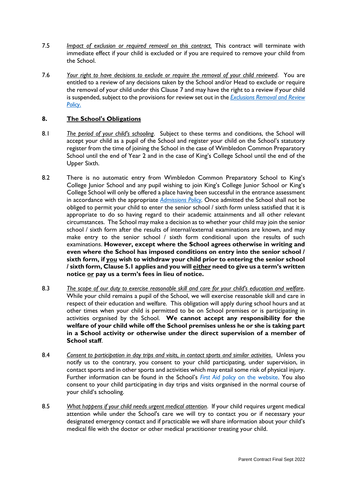- 7.5 *Impact of exclusion or required removal on this contract.* This contract will terminate with immediate effect if your child is excluded or if you are required to remove your child from the School.
- 7.6 *Your right to have decisions to exclude or require the removal of your child reviewed*. You are entitled to a review of any decisions taken by the School and/or Head to exclude or require the removal of your child under this Clause 7 and may have the right to a review if your child is suspended, subject to the provisions for review set out in the *Exclusions [Removal and Review](https://www.kcs.org.uk/useful-information/policies-documents-and-privacy-notices) [Policy](https://www.kcs.org.uk/useful-information/policies-documents-and-privacy-notices)*.

# **8. The School's Obligations**

- 8.1 *The period of your child's schooling*. Subject to these terms and conditions, the School will accept your child as a pupil of the School and register your child on the School's statutory register from the time of joining the School in the case of Wimbledon Common Preparatory School until the end of Year 2 and in the case of King's College School until the end of the Upper Sixth.
- 8.2 There is no automatic entry from Wimbledon Common Preparatory School to King's College Junior School and any pupil wishing to join King's College Junior School or King's College School will only be offered a place having been successful in the entrance assessment in accordance with the appropriate *[Admissions Policy.](https://www.kcs.org.uk/useful-information/policies-documents-and-privacy-notices)* Once admitted the School shall not be obliged to permit your child to enter the senior school / sixth form unless satisfied that it is appropriate to do so having regard to their academic attainments and all other relevant circumstances. The School may make a decision as to whether your child may join the senior school / sixth form after the results of internal/external examinations are known, and may make entry to the senior school / sixth form conditional upon the results of such examinations. **However, except where the School agrees otherwise in writing and even where the School has imposed conditions on entry into the senior school / sixth form, if you wish to withdraw your child prior to entering the senior school / sixth form, Clause 5.1 applies and you will either need to give us a term's written notice or pay us a term's fees in lieu of notice.**
- 8.3 *The scope of our duty to exercise reasonable skill and care for your child's education and welfare*. While your child remains a pupil of the School, we will exercise reasonable skill and care in respect of their education and welfare. This obligation will apply during school hours and at other times when your child is permitted to be on School premises or is participating in activities organised by the School. **We cannot accept any responsibility for the welfare of your child while off the School premises unless he or she is taking part in a School activity or otherwise under the direct supervision of a member of School staff**.
- 8.4 *Consent to participation in day trips and visits, in contact sports and similar activities*. Unless you notify us to the contrary, you consent to your child participating, under supervision, in contact sports and in other sports and activities which may entail some risk of physical injury. Further information can be found in the School's *First Aid policy* [on the website.](https://www.kcs.org.uk/useful-information/policies-documents-and-privacy-notices) You also consent to your child participating in day trips and visits organised in the normal course of your child's schooling.
- 8.5 *What happens if your child needs urgent medical attention*. If your child requires urgent medical attention while under the School's care we will try to contact you or if necessary your designated emergency contact and if practicable we will share information about your child's medical file with the doctor or other medical practitioner treating your child.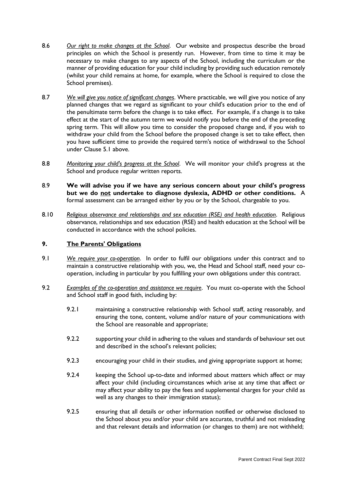- 8.6 *Our right to make changes at the School*. Our website and prospectus describe the broad principles on which the School is presently run. However, from time to time it may be necessary to make changes to any aspects of the School, including the curriculum or the manner of providing education for your child including by providing such education remotely (whilst your child remains at home, for example, where the School is required to close the School premises).
- 8.7 *We will give you notice of significant changes*. Where practicable, we will give you notice of any planned changes that we regard as significant to your child's education prior to the end of the penultimate term before the change is to take effect. For example, if a change is to take effect at the start of the autumn term we would notify you before the end of the preceding spring term. This will allow you time to consider the proposed change and, if you wish to withdraw your child from the School before the proposed change is set to take effect, then you have sufficient time to provide the required term's notice of withdrawal to the School under Clause 5.1 above.
- 8.8 *Monitoring your child's progress at the School*. We will monitor your child's progress at the School and produce regular written reports.
- 8.9 **We will advise you if we have any serious concern about your child's progress but we do not undertake to diagnose dyslexia, ADHD or other conditions.** A formal assessment can be arranged either by you or by the School, chargeable to you.
- 8.10 *Religious observance and relationships and sex education (RSE) and health education*. Religious observance, relationships and sex education (RSE) and health education at the School will be conducted in accordance with the school policies.

## **9. The Parents' Obligations**

- 9.1 *We require your co-operation*. In order to fulfil our obligations under this contract and to maintain a constructive relationship with you, we, the Head and School staff, need your cooperation, including in particular by you fulfilling your own obligations under this contract.
- 9.2 *Examples of the co-operation and assistance we require*. You must co-operate with the School and School staff in good faith, including by:
	- 9.2.1 maintaining a constructive relationship with School staff, acting reasonably, and ensuring the tone, content, volume and/or nature of your communications with the School are reasonable and appropriate;
	- 9.2.2 supporting your child in adhering to the values and standards of behaviour set out and described in the school's relevant policies;
	- 9.2.3 encouraging your child in their studies, and giving appropriate support at home;
	- 9.2.4 keeping the School up-to-date and informed about matters which affect or may affect your child (including circumstances which arise at any time that affect or may affect your ability to pay the fees and supplemental charges for your child as well as any changes to their immigration status);
	- 9.2.5 ensuring that all details or other information notified or otherwise disclosed to the School about you and/or your child are accurate, truthful and not misleading and that relevant details and information (or changes to them) are not withheld;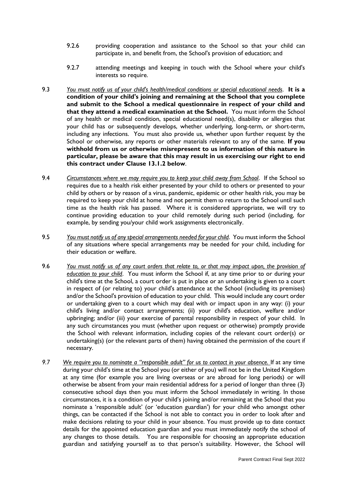- 9.2.6 providing cooperation and assistance to the School so that your child can participate in, and benefit from, the School's provision of education; and
- 9.2.7 attending meetings and keeping in touch with the School where your child's interests so require.
- 9.3 *You must notify us of your child's health/medical conditions or special educational needs*. **It is a condition of your child's joining and remaining at the School that you complete and submit to the School a medical questionnaire in respect of your child and that they attend a medical examination at the School.** You must inform the School of any health or medical condition, special educational need(s), disability or allergies that your child has or subsequently develops, whether underlying, long-term, or short-term, including any infections. You must also provide us, whether upon further request by the School or otherwise, any reports or other materials relevant to any of the same. **If you withhold from us or otherwise misrepresent to us information of this nature in particular, please be aware that this may result in us exercising our right to end this contract under Clause 13.1.2 below**.
- 9.4 *Circumstances where we may require you to keep your child away from School*. If the School so requires due to a health risk either presented by your child to others or presented to your child by others or by reason of a virus, pandemic, epidemic or other health risk, you may be required to keep your child at home and not permit them to return to the School until such time as the health risk has passed. Where it is considered appropriate, we will try to continue providing education to your child remotely during such period (including, for example, by sending you/your child work assignments electronically.
- 9.5 *You must notify us of any special arrangements needed for your child*. You must inform the School of any situations where special arrangements may be needed for your child, including for their education or welfare.
- 9.6 *You must notify us of any court orders that relate to, or that may impact upon, the provision of education to your child*. You must inform the School if, at any time prior to or during your child's time at the School, a court order is put in place or an undertaking is given to a court in respect of (or relating to) your child's attendance at the School (including its premises) and/or the School's provision of education to your child. This would include any court order or undertaking given to a court which may deal with or impact upon in any way: (i) your child's living and/or contact arrangements; (ii) your child's education, welfare and/or upbringing; and/or (iii) your exercise of parental responsibility in respect of your child. In any such circumstances you must (whether upon request or otherwise) promptly provide the School with relevant information, including copies of the relevant court order(s) or undertaking(s) (or the relevant parts of them) having obtained the permission of the court if necessary.
- *9.7 We require you to nominate a "responsible adult" for us to contact in your absence.* If at any time during your child's time at the School you (or either of you) will not be in the United Kingdom at any time (for example you are living overseas or are abroad for long periods) or will otherwise be absent from your main residential address for a period of longer than three (3) consecutive school days then you must inform the School immediately in writing. In those circumstances, it is a condition of your child's joining and/or remaining at the School that you nominate a 'responsible adult' (or 'education guardian') for your child who amongst other things, can be contacted if the School is not able to contact you in order to look after and make decisions relating to your child in your absence. You must provide up to date contact details for the appointed education guardian and you must immediately notify the school of any changes to those details. You are responsible for choosing an appropriate education guardian and satisfying yourself as to that person's suitability. However, the School will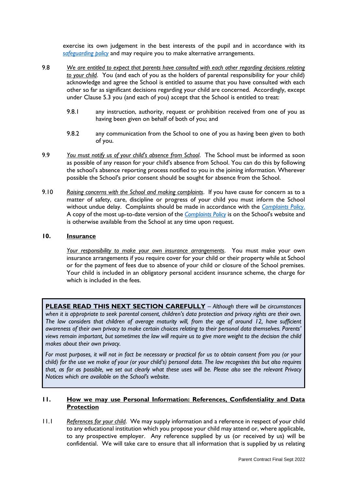exercise its own judgement in the best interests of the pupil and in accordance with its *[safeguarding policy](https://www.kcs.org.uk/useful-information/policies-documents-and-privacy-notices)* and may require you to make alternative arrangements.

- 9.8 *We are entitled to expect that parents have consulted with each other regarding decisions relating to your child*. You (and each of you as the holders of parental responsibility for your child) acknowledge and agree the School is entitled to assume that you have consulted with each other so far as significant decisions regarding your child are concerned. Accordingly, except under Clause 5.3 you (and each of you) accept that the School is entitled to treat:
	- 9.8.1 any instruction, authority, request or prohibition received from one of you as having been given on behalf of both of you; and
	- 9.8.2 any communication from the School to one of you as having been given to both of you.
- 9.9 *You must notify us of your child's absence from School*. The School must be informed as soon as possible of any reason for your child's absence from School. You can do this by following the school's absence reporting process notified to you in the joining information. Wherever possible the School's prior consent should be sought for absence from the School.
- 9.10 *Raising concerns with the School and making complaints*. If you have cause for concern as to a matter of safety, care, discipline or progress of your child you must inform the School without undue delay. Complaints should be made in accordance with the *[Complaints Policy](https://www.kcs.org.uk/useful-information/policies-documents-and-privacy-notices)*. A copy of the most up-to-date version of the *[Complaints Policy](https://www.kcs.org.uk/useful-information/policies-documents-and-privacy-notices)* is on the School's website and is otherwise available from the School at any time upon request.

## **10. Insurance**

*Your responsibility to make your own insurance arrangements*. You must make your own insurance arrangements if you require cover for your child or their property while at School or for the payment of fees due to absence of your child or closure of the School premises. Your child is included in an obligatory personal accident insurance scheme, the charge for which is included in the fees.

**PLEASE READ THIS NEXT SECTION CAREFULLY** – *Although there will be circumstances when it is appropriate to seek parental consent, children's data protection and privacy rights are their own. The law considers that children of average maturity will, from the age of around 12, have sufficient awareness of their own privacy to make certain choices relating to their personal data themselves. Parents' views remain important, but sometimes the law will require us to give more weight to the decision the child makes about their own privacy.*

*For most purposes, it will not in fact be necessary or practical for us to obtain consent from you (or your child) for the use we make of your (or your child's) personal data. The law recognises this but also requires that, as far as possible, we set out clearly what these uses will be. Please also see the relevant Privacy Notices which are available on the School's website.*

## **11. How we may use Personal Information: References, Confidentiality and Data Protection**

11.1 *References for your child*. We may supply information and a reference in respect of your child to any educational institution which you propose your child may attend or, where applicable, to any prospective employer. Any reference supplied by us (or received by us) will be confidential. We will take care to ensure that all information that is supplied by us relating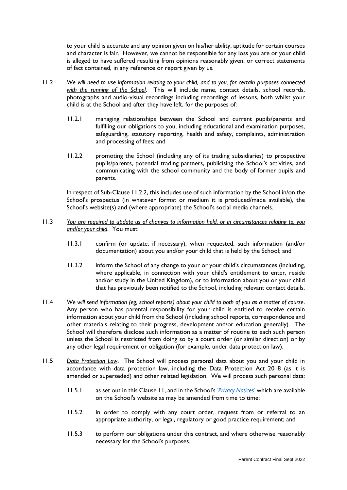to your child is accurate and any opinion given on his/her ability, aptitude for certain courses and character is fair. However, we cannot be responsible for any loss you are or your child is alleged to have suffered resulting from opinions reasonably given, or correct statements of fact contained, in any reference or report given by us.

- 11.2 *We will need to use information relating to your child, and to you, for certain purposes connected with the running of the School*. This will include name, contact details, school records, photographs and audio-visual recordings including recordings of lessons, both whilst your child is at the School and after they have left, for the purposes of:
	- 11.2.1 managing relationships between the School and current pupils/parents and fulfilling our obligations to you, including educational and examination purposes, safeguarding, statutory reporting, health and safety, complaints, administration and processing of fees; and
	- 11.2.2 promoting the School (including any of its trading subsidiaries) to prospective pupils/parents, potential trading partners, publicising the School's activities, and communicating with the school community and the body of former pupils and parents.

In respect of Sub-Clause 11.2.2, this includes use of such information by the School in/on the School's prospectus (in whatever format or medium it is produced/made available), the School's website(s) and (where appropriate) the School's social media channels.

- 11.3 *You are required to update us of changes to information held, or in circumstances relating to, you and/or your child*. You must:
	- 11.3.1 confirm (or update, if necessary), when requested, such information (and/or documentation) about you and/or your child that is held by the School; and
	- 11.3.2 inform the School of any change to your or your child's circumstances (including, where applicable, in connection with your child's entitlement to enter, reside and/or study in the United Kingdom), or to information about you or your child that has previously been notified to the School, including relevant contact details.
- 11.4 *We will send information (eg, school reports) about your child to both of you as a matter of course*. Any person who has parental responsibility for your child is entitled to receive certain information about your child from the School (including school reports, correspondence and other materials relating to their progress, development and/or education generally). The School will therefore disclose such information as a matter of routine to each such person unless the School is restricted from doing so by a court order (or similar direction) or by any other legal requirement or obligation (for example, under data protection law).
- 11.5 *Data Protection Law*. The School will process personal data about you and your child in accordance with data protection law, including the Data Protection Act 2018 (as it is amended or superseded) and other related legislation. We will process such personal data:
	- 11.5.1 as set out in this Clause 11, and in the School's *['Privacy Notices'](https://www.kcs.org.uk/useful-information/policies-documents-and-privacy-notices)* which are available on the School's website as may be amended from time to time;
	- 11.5.2 in order to comply with any court order, request from or referral to an appropriate authority, or legal, regulatory or good practice requirement; and
	- 11.5.3 to perform our obligations under this contract, and where otherwise reasonably necessary for the School's purposes.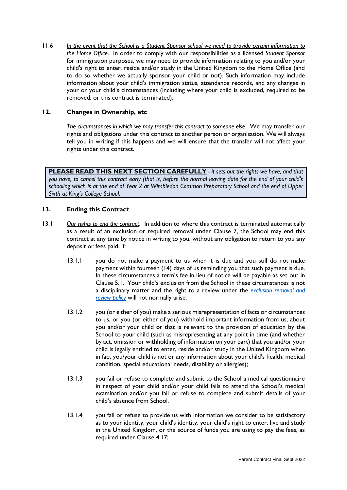11.6 *In the event that the School is a Student Sponsor school we need to provide certain information to the Home Office*. In order to comply with our responsibilities as a licensed *Student Sponsor* for immigration purposes, we may need to provide information relating to you and/or your child's right to enter, reside and/or study in the United Kingdom to the Home Office (and to do so whether we actually sponsor your child or not). Such information may include information about your child's immigration status, attendance records, and any changes in your or your child's circumstances (including where your child is excluded, required to be removed, or this contract is terminated).

## **12. Changes in Ownership, etc**

*The circumstances in which we may transfer this contract to someone else*. We may transfer our rights and obligations under this contract to another person or organisation. We will always tell you in writing if this happens and we will ensure that the transfer will not affect your rights under this contract.

**PLEASE READ THIS NEXT SECTION CAREFULLY** *- it sets out the rights we have, and that you have, to cancel this contract early (that is, before the normal leaving date for the end of your child's schooling which is at the end of Year 2 at Wimbledon Common Preparatory School and the end of Upper Sixth at King's College School*.

## **13. Ending this Contract**

- 13.1 *Our rights to end the contract*. In addition to where this contract is terminated automatically as a result of an exclusion or required removal under Clause 7, the School may end this contract at any time by notice in writing to you, without any obligation to return to you any deposit or fees paid, if:
	- 13.1.1 you do not make a payment to us when it is due and you still do not make payment within fourteen (14) days of us reminding you that such payment is due. In these circumstances a term's fee in lieu of notice will be payable as set out in Clause 5.1. Your child's exclusion from the School in these circumstances is not a disciplinary matter and the right to a review under the *[exclusion removal and](https://www.kcs.org.uk/useful-information/policies-documents-and-privacy-notices)  [review policy](https://www.kcs.org.uk/useful-information/policies-documents-and-privacy-notices)* will not normally arise.
	- 13.1.2 you (or either of you) make a serious misrepresentation of facts or circumstances to us, or you (or either of you) withhold important information from us, about you and/or your child or that is relevant to the provision of education by the School to your child (such as misrepresenting at any point in time (and whether by act, omission or withholding of information on your part) that you and/or your child is legally entitled to enter, reside and/or study in the United Kingdom when in fact you/your child is not or any information about your child's health, medical condition, special educational needs, disability or allergies);
	- 13.1.3 you fail or refuse to complete and submit to the School a medical questionnaire in respect of your child and/or your child fails to attend the School's medical examination and/or you fail or refuse to complete and submit details of your child's absence from School.
	- 13.1.4 you fail or refuse to provide us with information we consider to be satisfactory as to your identity, your child's identity, your child's right to enter, live and study in the United Kingdom, or the source of funds you are using to pay the fees, as required under Clause 4.17;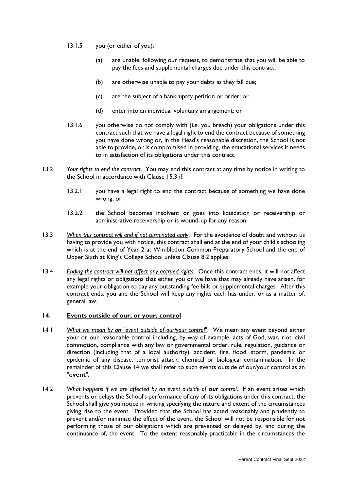- 13.1.5 you (or either of you):
	- (a) are unable, following our request, to demonstrate that you will be able to pay the fees and supplemental charges due under this contract;
	- (b) are otherwise unable to pay your debts as they fall due;
	- (c) are the subject of a bankruptcy petition or order; or
	- (d) enter into an individual voluntary arrangement; or
- 13.1.6 you otherwise do not comply with (i.e. you breach) your obligations under this contract such that we have a legal right to end the contract because of something you have done wrong or, in the Head's reasonable discretion, the School is not able to provide, or is compromised in providing, the educational services it needs to in satisfaction of its obligations under this contract.
- 13.2 *Your rights to end the contract*. You may end this contract at any time by notice in writing to the School in accordance with Clause 15.3 if:
	- 13.2.1 you have a legal right to end the contract because of something we have done wrong; or
	- 13.2.2 the School becomes insolvent or goes into liquidation or receivership or administrative receivership or is wound-up for any reason.
- 13.3 *When this contract will end if not terminated early*. For the avoidance of doubt and without us having to provide you with notice, this contract shall end at the end of your child's schooling which is at the end of Year 2 at Wimbledon Common Preparatory School and the end of Upper Sixth at King's College School unless Clause 8.2 applies.
- 13.4 *Ending the contract will not affect any accrued rights*. Once this contract ends, it will not affect any legal rights or obligations that either you or we have that may already have arisen, for example your obligation to pay any outstanding fee bills or supplemental charges. After this contract ends, you and the School will keep any rights each has under, or as a matter of, general law.

# **14. Events outside of our, or your, control**

- 14.1 *What we mean by an "event outside of our/your control"*. We mean any event beyond either your or our reasonable control including, by way of example, acts of God, war, riot, civil commotion, compliance with any law or governmental order, rule, regulation, guidance or direction (including that of a local authority), accident, fire, flood, storm, pandemic or epidemic of any disease, terrorist attack, chemical or biological contamination. In the remainder of this Clause 14 we shall refer to such events outside of our/your control as an "**event**".
- 14.2 *What happens if we are affected by an event outside of our control. If an event arises which* prevents or delays the School's performance of any of its obligations under this contract, the School shall give you notice in writing specifying the nature and extent of the circumstances giving rise to the event. Provided that the School has acted reasonably and prudently to prevent and/or minimise the effect of the event, the School will not be responsible for not performing those of our obligations which are prevented or delayed by, and during the continuance of, the event. To the extent reasonably practicable in the circumstances the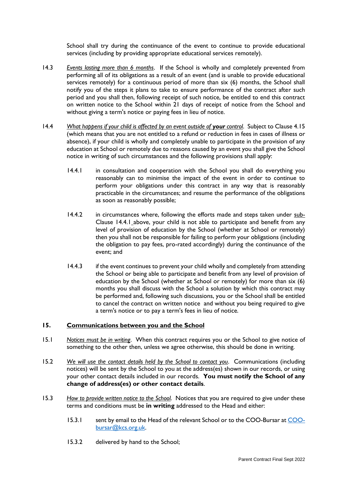School shall try during the continuance of the event to continue to provide educational services (including by providing appropriate educational services remotely).

- 14.3 *Events lasting more than 6 months*. If the School is wholly and completely prevented from performing all of its obligations as a result of an event (and is unable to provide educational services remotely) for a continuous period of more than six (6) months, the School shall notify you of the steps it plans to take to ensure performance of the contract after such period and you shall then, following receipt of such notice, be entitled to end this contract on written notice to the School within 21 days of receipt of notice from the School and without giving a term's notice or paying fees in lieu of notice.
- 14.4 *What happens if your child is affected by an event outside of your control.* Subject to Clause 4.15 (which means that you are not entitled to a refund or reduction in fees in cases of illness or absence), if your child is wholly and completely unable to participate in the provision of any education at School or remotely due to reasons caused by an event you shall give the School notice in writing of such circumstances and the following provisions shall apply:
	- 14.4.1 in consultation and cooperation with the School you shall do everything you reasonably can to minimise the impact of the event in order to continue to perform your obligations under this contract in any way that is reasonably practicable in the circumstances; and resume the performance of the obligations as soon as reasonably possible;
	- 14.4.2 in circumstances where, following the efforts made and steps taken under sub-Clause 14.4.1 above, your child is not able to participate and benefit from any level of provision of education by the School (whether at School or remotely) then you shall not be responsible for failing to perform your obligations (including the obligation to pay fees, pro-rated accordingly) during the continuance of the event; and
	- 14.4.3 if the event continues to prevent your child wholly and completely from attending the School or being able to participate and benefit from any level of provision of education by the School (whether at School or remotely) for more than six (6) months you shall discuss with the School a solution by which this contract may be performed and, following such discussions, you or the School shall be entitled to cancel the contract on written notice and without you being required to give a term's notice or to pay a term's fees in lieu of notice.

# **15. Communications between you and the School**

- 15.1 *Notices must be in writing*. When this contract requires you or the School to give notice of something to the other then, unless we agree otherwise, this should be done in writing.
- 15.2 *We will use the contact details held by the School to contact you*. Communications (including notices) will be sent by the School to you at the address(es) shown in our records, or using your other contact details included in our records. **You must notify the School of any change of address(es) or other contact details**.
- 15.3 *How to provide written notice to the School*. Notices that you are required to give under these terms and conditions must be **in writing** addressed to the Head and either:
	- 15.3.1 sent by email to the Head of the relevant School or to the COO-Bursar at [COO](mailto:COO-bursar@kcs.org.uk)[bursar@kcs.org.uk.](mailto:COO-bursar@kcs.org.uk)
	- 15.3.2 delivered by hand to the School;